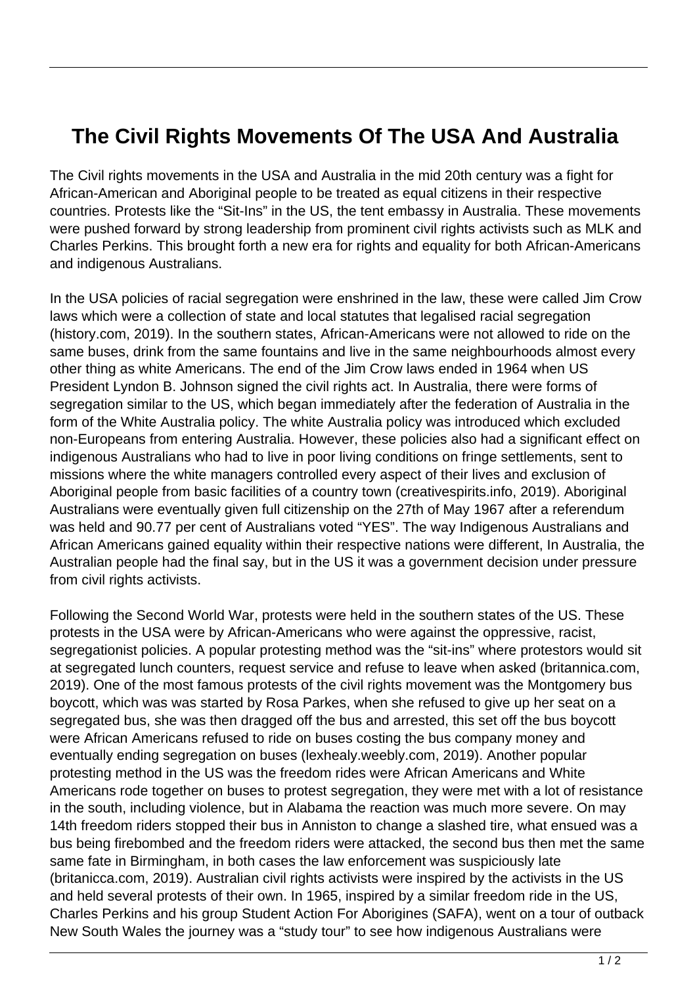## **The Civil Rights Movements Of The USA And Australia**

The Civil rights movements in the USA and Australia in the mid 20th century was a fight for African-American and Aboriginal people to be treated as equal citizens in their respective countries. Protests like the "Sit-Ins" in the US, the tent embassy in Australia. These movements were pushed forward by strong leadership from prominent civil rights activists such as MLK and Charles Perkins. This brought forth a new era for rights and equality for both African-Americans and indigenous Australians.

In the USA policies of racial segregation were enshrined in the law, these were called Jim Crow laws which were a collection of state and local statutes that legalised racial segregation (history.com, 2019). In the southern states, African-Americans were not allowed to ride on the same buses, drink from the same fountains and live in the same neighbourhoods almost every other thing as white Americans. The end of the Jim Crow laws ended in 1964 when US President Lyndon B. Johnson signed the civil rights act. In Australia, there were forms of segregation similar to the US, which began immediately after the federation of Australia in the form of the White Australia policy. The white Australia policy was introduced which excluded non-Europeans from entering Australia. However, these policies also had a significant effect on indigenous Australians who had to live in poor living conditions on fringe settlements, sent to missions where the white managers controlled every aspect of their lives and exclusion of Aboriginal people from basic facilities of a country town (creativespirits.info, 2019). Aboriginal Australians were eventually given full citizenship on the 27th of May 1967 after a referendum was held and 90.77 per cent of Australians voted "YES". The way Indigenous Australians and African Americans gained equality within their respective nations were different, In Australia, the Australian people had the final say, but in the US it was a government decision under pressure from civil rights activists.

Following the Second World War, protests were held in the southern states of the US. These protests in the USA were by African-Americans who were against the oppressive, racist, segregationist policies. A popular protesting method was the "sit-ins" where protestors would sit at segregated lunch counters, request service and refuse to leave when asked (britannica.com, 2019). One of the most famous protests of the civil rights movement was the Montgomery bus boycott, which was was started by Rosa Parkes, when she refused to give up her seat on a segregated bus, she was then dragged off the bus and arrested, this set off the bus boycott were African Americans refused to ride on buses costing the bus company money and eventually ending segregation on buses (lexhealy.weebly.com, 2019). Another popular protesting method in the US was the freedom rides were African Americans and White Americans rode together on buses to protest segregation, they were met with a lot of resistance in the south, including violence, but in Alabama the reaction was much more severe. On may 14th freedom riders stopped their bus in Anniston to change a slashed tire, what ensued was a bus being firebombed and the freedom riders were attacked, the second bus then met the same same fate in Birmingham, in both cases the law enforcement was suspiciously late (britanicca.com, 2019). Australian civil rights activists were inspired by the activists in the US and held several protests of their own. In 1965, inspired by a similar freedom ride in the US, Charles Perkins and his group Student Action For Aborigines (SAFA), went on a tour of outback New South Wales the journey was a "study tour" to see how indigenous Australians were